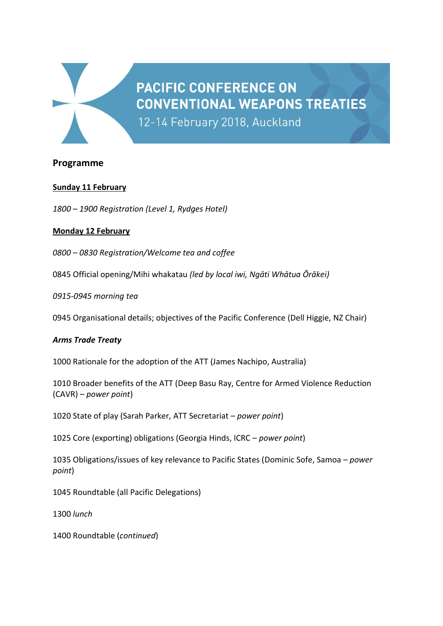

# **Programme**

## **Sunday 11 February**

*1800 – 1900 Registration (Level 1, Rydges Hotel)*

## **Monday 12 February**

*0800 – 0830 Registration/Welcome tea and coffee*

0845 Official opening/Mihi whakatau *(led by local iwi, Ngāti Whātua Ōrākei)*

*0915-0945 morning tea*

0945 Organisational details; objectives of the Pacific Conference (Dell Higgie, NZ Chair)

**PACIFIC CONFERENCE ON** 

12-14 February 2018, Auckland

**CONVENTIONAL WEAPONS TREATIES** 

#### *Arms Trade Treaty*

1000 Rationale for the adoption of the ATT (James Nachipo, Australia)

1010 Broader benefits of the ATT (Deep Basu Ray, Centre for Armed Violence Reduction (CAVR) – *power point*)

1020 State of play (Sarah Parker, ATT Secretariat – *power point*)

1025 Core (exporting) obligations (Georgia Hinds, ICRC – *power point*)

1035 Obligations/issues of key relevance to Pacific States (Dominic Sofe, Samoa – *power point*)

1045 Roundtable (all Pacific Delegations)

1300 *lunch*

1400 Roundtable (*continued*)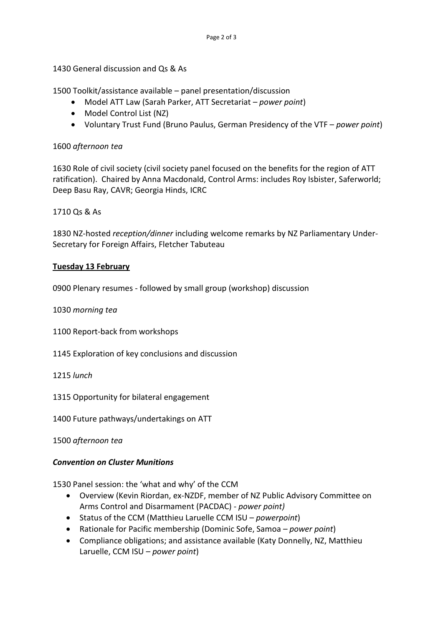1430 General discussion and Qs & As

1500 Toolkit/assistance available – panel presentation/discussion

- Model ATT Law (Sarah Parker, ATT Secretariat *power point*)
- Model Control List (NZ)
- Voluntary Trust Fund (Bruno Paulus, German Presidency of the VTF *power point*)

#### 1600 *afternoon tea*

1630 Role of civil society (civil society panel focused on the benefits for the region of ATT ratification). Chaired by Anna Macdonald, Control Arms: includes Roy Isbister, Saferworld; Deep Basu Ray, CAVR; Georgia Hinds, ICRC

1710 Qs & As

1830 NZ-hosted *reception/dinner* including welcome remarks by NZ Parliamentary Under-Secretary for Foreign Affairs, Fletcher Tabuteau

#### **Tuesday 13 February**

0900 Plenary resumes - followed by small group (workshop) discussion

1030 *morning tea* 

- 1100 Report-back from workshops
- 1145 Exploration of key conclusions and discussion

1215 *lunch*

1315 Opportunity for bilateral engagement

1400 Future pathways/undertakings on ATT

1500 *afternoon tea*

#### *Convention on Cluster Munitions*

1530 Panel session: the 'what and why' of the CCM

- Overview (Kevin Riordan, ex-NZDF, member of NZ Public Advisory Committee on Arms Control and Disarmament (PACDAC) - *power point)*
- Status of the CCM (Matthieu Laruelle CCM ISU *powerpoint*)
- Rationale for Pacific membership (Dominic Sofe, Samoa *power point*)
- Compliance obligations; and assistance available (Katy Donnelly, NZ, Matthieu Laruelle, CCM ISU – *power point*)